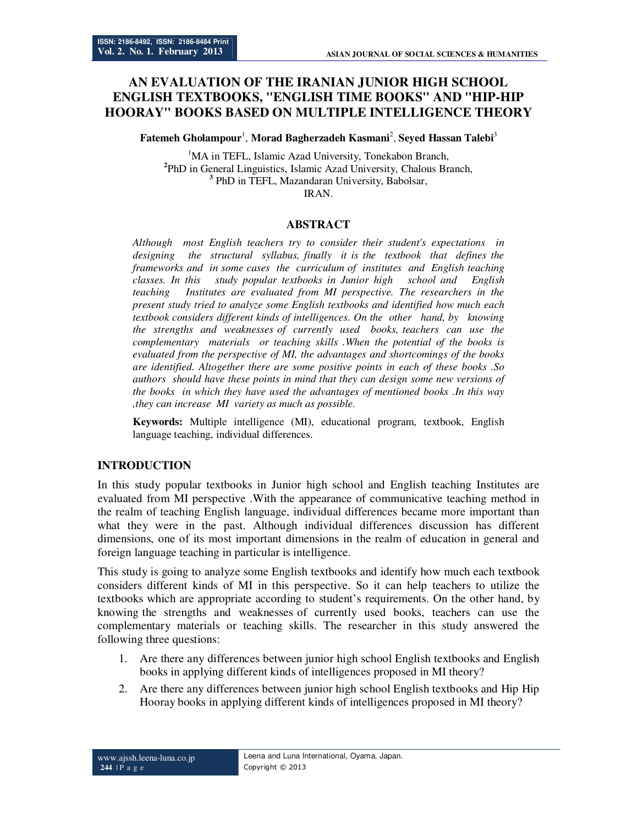# **AN EVALUATION OF THE IRANIAN JUNIOR HIGH SCHOOL ENGLISH TEXTBOOKS, "ENGLISH TIME BOOKS" AND "HIP-HIP HOORAY" BOOKS BASED ON MULTIPLE INTELLIGENCE THEORY**

Fatemeh Gholampour<sup>1</sup>, Morad Bagherzadeh Kasmani<sup>2</sup>, Seyed Hassan Talebi<sup>3</sup>

<sup>1</sup>MA in TEFL, Islamic Azad University, Tonekabon Branch, **2** PhD in General Linguistics, Islamic Azad University, Chalous Branch, **3** PhD in TEFL, Mazandaran University, Babolsar, IRAN.

### **ABSTRACT**

*Although most English teachers try to consider their student's expectations in designing the structural syllabus, finally it is the textbook that defines the frameworks and in some cases the curriculum of institutes and English teaching classes. In this study popular textbooks in Junior high school and English teaching Institutes are evaluated from MI perspective. The researchers in the present study tried to analyze some English textbooks and identified how much each textbook considers different kinds of intelligences. On the other hand, by knowing the strengths and weaknesses of currently used books, teachers can use the complementary materials or teaching skills .When the potential of the books is evaluated from the perspective of MI, the advantages and shortcomings of the books are identified. Altogether there are some positive points in each of these books .So authors should have these points in mind that they can design some new versions of the books in which they have used the advantages of mentioned books .In this way ,they can increase MI variety as much as possible.*

**Keywords:** Multiple intelligence (MI), educational program, textbook, English language teaching, individual differences.

### **INTRODUCTION**

In this study popular textbooks in Junior high school and English teaching Institutes are evaluated from MI perspective .With the appearance of communicative teaching method in the realm of teaching English language, individual differences became more important than what they were in the past. Although individual differences discussion has different dimensions, one of its most important dimensions in the realm of education in general and foreign language teaching in particular is intelligence.

This study is going to analyze some English textbooks and identify how much each textbook considers different kinds of MI in this perspective. So it can help teachers to utilize the textbooks which are appropriate according to student's requirements. On the other hand, by knowing the strengths and weaknesses of currently used books, teachers can use the complementary materials or teaching skills. The researcher in this study answered the following three questions:

- 1. Are there any differences between junior high school English textbooks and English books in applying different kinds of intelligences proposed in MI theory?
- 2. Are there any differences between junior high school English textbooks and Hip Hip Hooray books in applying different kinds of intelligences proposed in MI theory?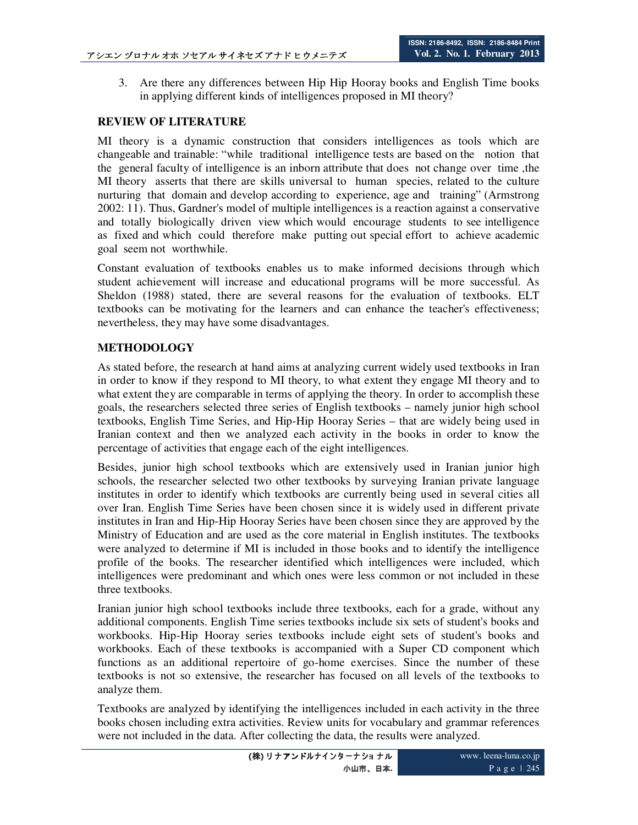3. Are there any differences between Hip Hip Hooray books and English Time books in applying different kinds of intelligences proposed in MI theory?

### **REVIEW OF LITERATURE**

MI theory is a dynamic construction that considers intelligences as tools which are changeable and trainable: "while traditional intelligence tests are based on the notion that the general faculty of intelligence is an inborn attribute that does not change over time ,the MI theory asserts that there are skills universal to human species, related to the culture nurturing that domain and develop according to experience, age and training" (Armstrong 2002: 11). Thus, Gardner's model of multiple intelligences is a reaction against a conservative and totally biologically driven view which would encourage students to see intelligence as fixed and which could therefore make putting out special effort to achieve academic goal seem not worthwhile.

Constant evaluation of textbooks enables us to make informed decisions through which student achievement will increase and educational programs will be more successful. As Sheldon (1988) stated, there are several reasons for the evaluation of textbooks. ELT textbooks can be motivating for the learners and can enhance the teacher's effectiveness; nevertheless, they may have some disadvantages.

## **METHODOLOGY**

As stated before, the research at hand aims at analyzing current widely used textbooks in Iran in order to know if they respond to MI theory, to what extent they engage MI theory and to what extent they are comparable in terms of applying the theory. In order to accomplish these goals, the researchers selected three series of English textbooks – namely junior high school textbooks, English Time Series, and Hip-Hip Hooray Series – that are widely being used in Iranian context and then we analyzed each activity in the books in order to know the percentage of activities that engage each of the eight intelligences.

Besides, junior high school textbooks which are extensively used in Iranian junior high schools, the researcher selected two other textbooks by surveying Iranian private language institutes in order to identify which textbooks are currently being used in several cities all over Iran. English Time Series have been chosen since it is widely used in different private institutes in Iran and Hip-Hip Hooray Series have been chosen since they are approved by the Ministry of Education and are used as the core material in English institutes. The textbooks were analyzed to determine if MI is included in those books and to identify the intelligence profile of the books. The researcher identified which intelligences were included, which intelligences were predominant and which ones were less common or not included in these three textbooks.

Iranian junior high school textbooks include three textbooks, each for a grade, without any additional components. English Time series textbooks include six sets of student's books and workbooks. Hip-Hip Hooray series textbooks include eight sets of student's books and workbooks. Each of these textbooks is accompanied with a Super CD component which functions as an additional repertoire of go-home exercises. Since the number of these textbooks is not so extensive, the researcher has focused on all levels of the textbooks to analyze them.

Textbooks are analyzed by identifying the intelligences included in each activity in the three books chosen including extra activities. Review units for vocabulary and grammar references were not included in the data. After collecting the data, the results were analyzed.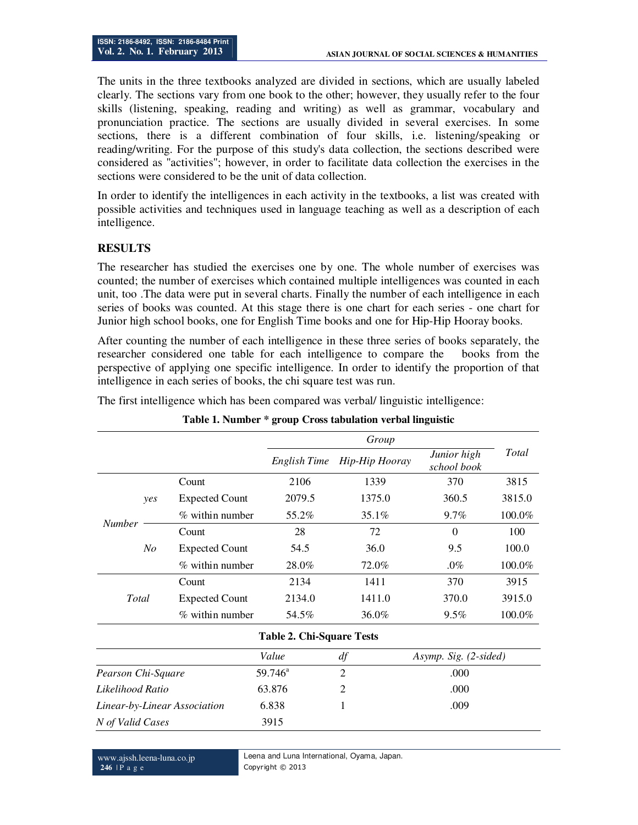The units in the three textbooks analyzed are divided in sections, which are usually labeled clearly. The sections vary from one book to the other; however, they usually refer to the four skills (listening, speaking, reading and writing) as well as grammar, vocabulary and pronunciation practice. The sections are usually divided in several exercises. In some sections, there is a different combination of four skills, i.e. listening/speaking or reading/writing. For the purpose of this study's data collection, the sections described were considered as "activities"; however, in order to facilitate data collection the exercises in the sections were considered to be the unit of data collection.

In order to identify the intelligences in each activity in the textbooks, a list was created with possible activities and techniques used in language teaching as well as a description of each intelligence.

### **RESULTS**

The researcher has studied the exercises one by one. The whole number of exercises was counted; the number of exercises which contained multiple intelligences was counted in each unit, too .The data were put in several charts. Finally the number of each intelligence in each series of books was counted. At this stage there is one chart for each series - one chart for Junior high school books, one for English Time books and one for Hip-Hip Hooray books.

After counting the number of each intelligence in these three series of books separately, the researcher considered one table for each intelligence to compare the books from the perspective of applying one specific intelligence. In order to identify the proportion of that intelligence in each series of books, the chi square test was run.

The first intelligence which has been compared was verbal/ linguistic intelligence:

|                              |       |                       |                                  | Group          |                            |              |  |  |
|------------------------------|-------|-----------------------|----------------------------------|----------------|----------------------------|--------------|--|--|
|                              |       |                       | English Time                     | Hip-Hip Hooray | Junior high<br>school book | <b>Total</b> |  |  |
|                              |       | Count                 | 2106                             | 1339           | 370                        | 3815         |  |  |
| <b>Number</b>                | yes   | <b>Expected Count</b> | 2079.5                           | 1375.0         | 360.5                      | 3815.0       |  |  |
|                              |       | % within number       | 55.2%                            | 35.1%          | 9.7%                       | 100.0%       |  |  |
|                              |       | Count                 | 28                               | 72             | $\theta$                   | 100          |  |  |
|                              | No    | <b>Expected Count</b> | 54.5                             | 36.0           | 9.5                        | 100.0        |  |  |
|                              |       | % within number       | 28.0%                            | 72.0%          | $.0\%$                     | 100.0%       |  |  |
|                              |       | Count                 | 2134                             | 1411           | 370                        | 3915         |  |  |
|                              | Total | <b>Expected Count</b> | 2134.0                           | 1411.0         | 370.0                      | 3915.0       |  |  |
|                              |       | % within number       | 54.5%                            | 36.0%          | $9.5\%$                    | 100.0%       |  |  |
|                              |       |                       | <b>Table 2. Chi-Square Tests</b> |                |                            |              |  |  |
|                              |       |                       | Value                            | df             | Asymp. Sig. (2-sided)      |              |  |  |
| Pearson Chi-Square           |       | $59.746^a$            | $\overline{2}$                   | .000           |                            |              |  |  |
| Likelihood Ratio             |       |                       | 63.876                           | $\overline{2}$ | .000                       |              |  |  |
| Linear-by-Linear Association |       |                       | 6.838                            | 1<br>.009      |                            |              |  |  |
| N of Valid Cases             |       |                       | 3915                             |                |                            |              |  |  |

#### **Table 1. Number \* group Cross tabulation verbal linguistic**

www.ajssh.leena-luna.co.jp **246** | P a g e

Leena and Luna International, Oyama, Japan. Copyright © 2013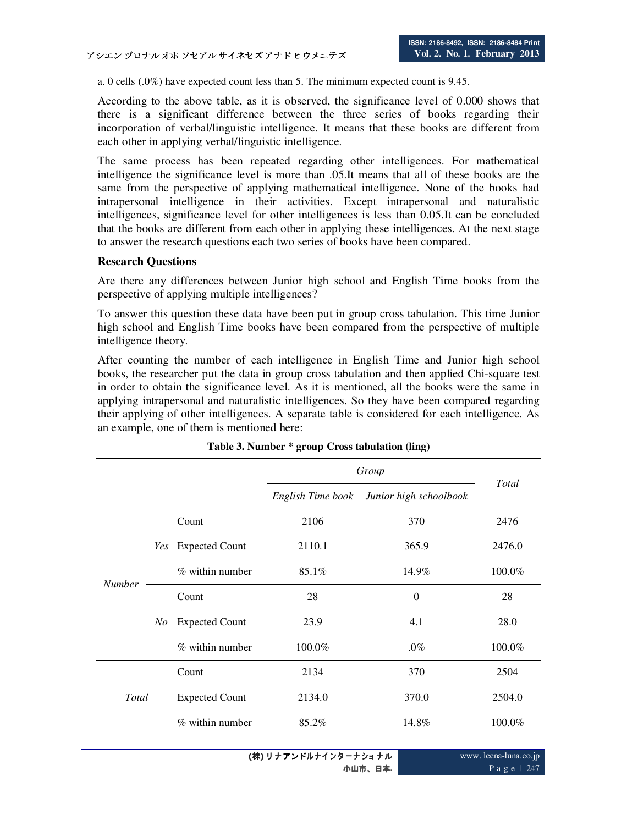a. 0 cells (.0%) have expected count less than 5. The minimum expected count is 9.45.

According to the above table, as it is observed, the significance level of 0.000 shows that there is a significant difference between the three series of books regarding their incorporation of verbal/linguistic intelligence. It means that these books are different from each other in applying verbal/linguistic intelligence.

The same process has been repeated regarding other intelligences. For mathematical intelligence the significance level is more than .05.It means that all of these books are the same from the perspective of applying mathematical intelligence. None of the books had intrapersonal intelligence in their activities. Except intrapersonal and naturalistic intelligences, significance level for other intelligences is less than 0.05.It can be concluded that the books are different from each other in applying these intelligences. At the next stage to answer the research questions each two series of books have been compared.

#### **Research Questions**

Are there any differences between Junior high school and English Time books from the perspective of applying multiple intelligences?

To answer this question these data have been put in group cross tabulation. This time Junior high school and English Time books have been compared from the perspective of multiple intelligence theory.

After counting the number of each intelligence in English Time and Junior high school books, the researcher put the data in group cross tabulation and then applied Chi-square test in order to obtain the significance level. As it is mentioned, all the books were the same in applying intrapersonal and naturalistic intelligences. So they have been compared regarding their applying of other intelligences. A separate table is considered for each intelligence. As an example, one of them is mentioned here:

|               |    |                            | Group                                       |          |        |
|---------------|----|----------------------------|---------------------------------------------|----------|--------|
|               |    |                            | English Time book<br>Junior high schoolbook |          | Total  |
|               |    | Count                      | 2106                                        | 370      | 2476   |
|               |    | Yes Expected Count         | 2110.1                                      | 365.9    | 2476.0 |
|               |    | $%$ within number<br>85.1% |                                             | 14.9%    | 100.0% |
| <b>Number</b> |    | Count                      | 28                                          | $\theta$ | 28     |
|               | No | <b>Expected Count</b>      | 23.9                                        | 4.1      | 28.0   |
|               |    | $%$ within number          | 100.0%                                      | $.0\%$   | 100.0% |
|               |    | Count                      | 2134                                        | 370      | 2504   |
| Total         |    | <b>Expected Count</b>      | 2134.0                                      | 370.0    | 2504.0 |
|               |    | $%$ within number          | 85.2%                                       | 14.8%    | 100.0% |

**Table 3. Number \* group Cross tabulation (ling)** 

www. leena-luna.co.jp P a g e | 247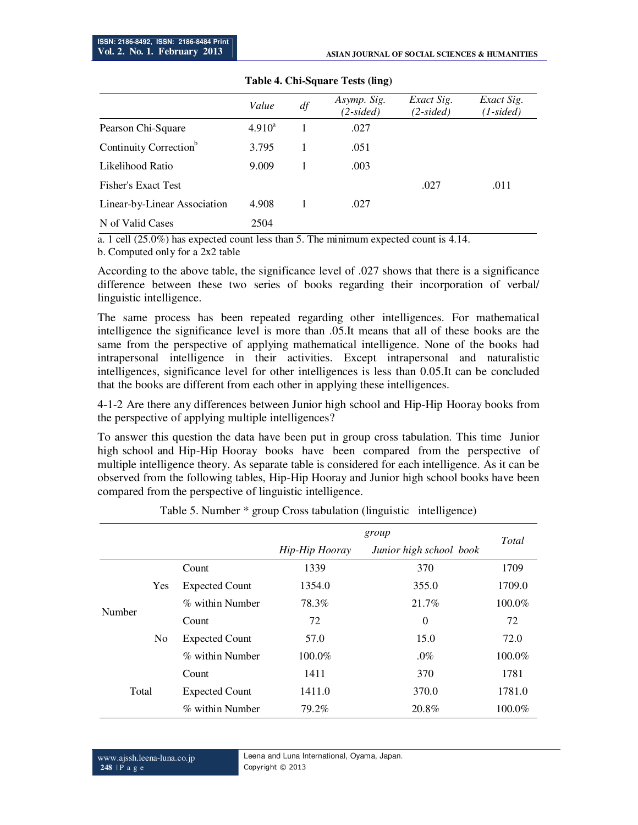|                                    | Value     | df | Asymp. Sig.<br>$(2-sided)$ | Exact Sig.<br>$(2-sided)$ | Exact Sig.<br>$(1-sided)$ |
|------------------------------------|-----------|----|----------------------------|---------------------------|---------------------------|
| Pearson Chi-Square                 | $4.910^a$ |    | .027                       |                           |                           |
| Continuity Correction <sup>b</sup> | 3.795     |    | .051                       |                           |                           |
| Likelihood Ratio                   | 9.009     |    | .003                       |                           |                           |
| Fisher's Exact Test                |           |    |                            | .027                      | .011                      |
| Linear-by-Linear Association       | 4.908     |    | .027                       |                           |                           |
| N of Valid Cases                   | 2504      |    |                            |                           |                           |

#### **Table 4. Chi-Square Tests (ling)**

a. 1 cell (25.0%) has expected count less than 5. The minimum expected count is 4.14.

b. Computed only for a 2x2 table

According to the above table, the significance level of .027 shows that there is a significance difference between these two series of books regarding their incorporation of verbal/ linguistic intelligence.

The same process has been repeated regarding other intelligences. For mathematical intelligence the significance level is more than .05.It means that all of these books are the same from the perspective of applying mathematical intelligence. None of the books had intrapersonal intelligence in their activities. Except intrapersonal and naturalistic intelligences, significance level for other intelligences is less than 0.05.It can be concluded that the books are different from each other in applying these intelligences.

4-1-2 Are there any differences between Junior high school and Hip-Hip Hooray books from the perspective of applying multiple intelligences?

To answer this question the data have been put in group cross tabulation. This time Junior high school and Hip-Hip Hooray books have been compared from the perspective of multiple intelligence theory. As separate table is considered for each intelligence. As it can be observed from the following tables, Hip-Hip Hooray and Junior high school books have been compared from the perspective of linguistic intelligence.

|        |     |                       |                | Total                   |           |
|--------|-----|-----------------------|----------------|-------------------------|-----------|
|        |     |                       | Hip-Hip Hooray | Junior high school book |           |
|        |     | Count                 | 1339           | 370                     | 1709      |
|        | Yes | <b>Expected Count</b> | 1354.0         | 355.0                   | 1709.0    |
|        |     | % within Number       | 78.3%<br>21.7% |                         | $100.0\%$ |
| Number |     | Count                 | 72             | $\theta$                | 72        |
|        | No. | <b>Expected Count</b> | 57.0           | 15.0                    | 72.0      |
|        |     | % within Number       | $100.0\%$      | $.0\%$                  | 100.0%    |
|        |     | Count                 | 1411           | 370                     | 1781      |
| Total  |     | <b>Expected Count</b> | 1411.0         | 370.0                   | 1781.0    |
|        |     | % within Number       | 79.2%          | 20.8%                   | 100.0%    |

Table 5. Number \* group Cross tabulation (linguistic intelligence)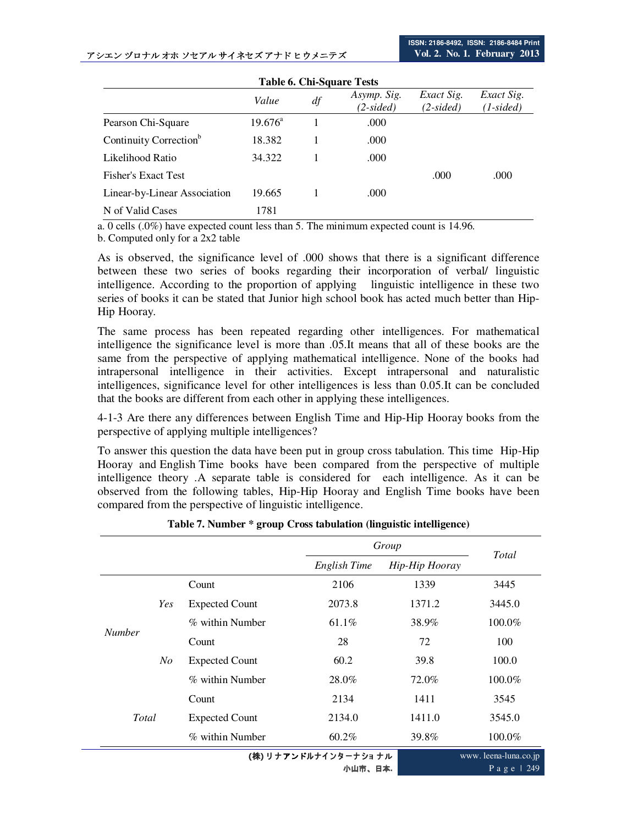#### アシエン ヅロナル オホ ソセアル サイネセズ アナド ヒウメニテズ

| <b>Table 6. Chi-Square Tests</b>   |                  |    |             |             |                                          |  |  |  |
|------------------------------------|------------------|----|-------------|-------------|------------------------------------------|--|--|--|
|                                    | Value            | df | Asymp. Sig. | Exact Sig.  | Exact Sig.                               |  |  |  |
|                                    |                  |    | $(2-sided)$ | $(2-sided)$ | $(1\negthinspace - \negthinspace sided)$ |  |  |  |
| Pearson Chi-Square                 | $19.676^{\circ}$ |    | .000        |             |                                          |  |  |  |
| Continuity Correction <sup>b</sup> | 18.382           |    | .000        |             |                                          |  |  |  |
| Likelihood Ratio                   | 34.322           |    | .000        |             |                                          |  |  |  |
| Fisher's Exact Test                |                  |    |             | .000        | .000                                     |  |  |  |
| Linear-by-Linear Association       | 19.665           |    | .000        |             |                                          |  |  |  |
| N of Valid Cases                   | 1781             |    |             |             |                                          |  |  |  |

a. 0 cells (.0%) have expected count less than 5. The minimum expected count is 14.96.

b. Computed only for a 2x2 table

As is observed, the significance level of .000 shows that there is a significant difference between these two series of books regarding their incorporation of verbal/ linguistic intelligence. According to the proportion of applying linguistic intelligence in these two series of books it can be stated that Junior high school book has acted much better than Hip-Hip Hooray.

The same process has been repeated regarding other intelligences. For mathematical intelligence the significance level is more than .05.It means that all of these books are the same from the perspective of applying mathematical intelligence. None of the books had intrapersonal intelligence in their activities. Except intrapersonal and naturalistic intelligences, significance level for other intelligences is less than 0.05.It can be concluded that the books are different from each other in applying these intelligences.

4-1-3 Are there any differences between English Time and Hip-Hip Hooray books from the perspective of applying multiple intelligences?

To answer this question the data have been put in group cross tabulation. This time Hip-Hip Hooray and English Time books have been compared from the perspective of multiple intelligence theory .A separate table is considered for each intelligence. As it can be observed from the following tables, Hip-Hip Hooray and English Time books have been compared from the perspective of linguistic intelligence.

|                                 |     |                       |              | Group          |                                          |  |  |  |
|---------------------------------|-----|-----------------------|--------------|----------------|------------------------------------------|--|--|--|
|                                 |     |                       | English Time | Hip-Hip Hooray | Total                                    |  |  |  |
|                                 |     | Count                 | 2106         | 1339           | 3445                                     |  |  |  |
|                                 | Yes | <b>Expected Count</b> | 2073.8       | 1371.2         | 3445.0                                   |  |  |  |
|                                 |     | % within Number       | 61.1%        | 38.9%          | 100.0%                                   |  |  |  |
| <b>Number</b>                   |     | Count                 | 28           | 72             | 100                                      |  |  |  |
|                                 | No  | <b>Expected Count</b> | 60.2         | 39.8           | 100.0                                    |  |  |  |
|                                 |     | % within Number       | 28.0%        | 72.0%          | 100.0%                                   |  |  |  |
| Total                           |     | Count                 | 2134         | 1411           | 3545                                     |  |  |  |
|                                 |     | <b>Expected Count</b> | 2134.0       | 1411.0         | 3545.0                                   |  |  |  |
|                                 |     | % within Number       | $60.2\%$     | 39.8%          | 100.0%                                   |  |  |  |
| (株) リナアンドルナインターナショナル<br>小山市、日本. |     |                       |              |                | www.leena-luna.co.jp<br>Page $\vert$ 249 |  |  |  |

**Table 7. Number \* group Cross tabulation (linguistic intelligence)**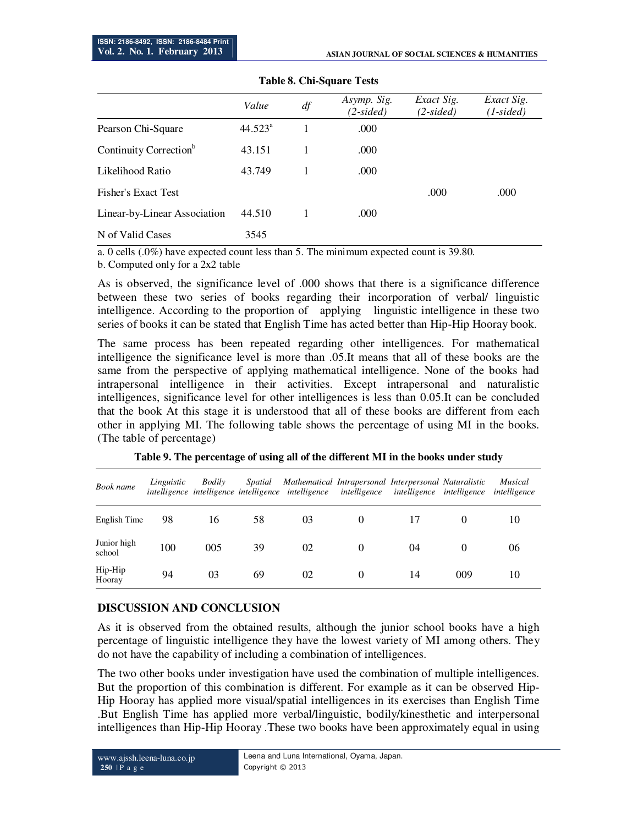|                                    | Value            | df | Asymp. Sig.<br>$(2-sided)$ | Exact Sig.<br>$(2-sided)$ | Exact Sig.<br>$(1-sided)$ |
|------------------------------------|------------------|----|----------------------------|---------------------------|---------------------------|
| Pearson Chi-Square                 | $44.523^{\circ}$ |    | .000                       |                           |                           |
| Continuity Correction <sup>b</sup> | 43.151           |    | .000                       |                           |                           |
| Likelihood Ratio                   | 43.749           |    | .000                       |                           |                           |
| Fisher's Exact Test                |                  |    |                            | .000                      | .000                      |
| Linear-by-Linear Association       | 44.510           |    | .000                       |                           |                           |
| N of Valid Cases                   | 3545             |    |                            |                           |                           |

#### **Table 8. Chi-Square Tests**

a. 0 cells (.0%) have expected count less than 5. The minimum expected count is 39.80.

b. Computed only for a 2x2 table

As is observed, the significance level of .000 shows that there is a significance difference between these two series of books regarding their incorporation of verbal/ linguistic intelligence. According to the proportion of applying linguistic intelligence in these two series of books it can be stated that English Time has acted better than Hip-Hip Hooray book.

The same process has been repeated regarding other intelligences. For mathematical intelligence the significance level is more than .05.It means that all of these books are the same from the perspective of applying mathematical intelligence. None of the books had intrapersonal intelligence in their activities. Except intrapersonal and naturalistic intelligences, significance level for other intelligences is less than 0.05.It can be concluded that the book At this stage it is understood that all of these books are different from each other in applying MI. The following table shows the percentage of using MI in the books. (The table of percentage)

| Book name             | Linguistic | Bodily | Spatial | Mathematical Intrapersonal Interpersonal Naturalistic<br>intelligence intelligence intelligence intelligence | intelligence | intelligence | intelligence | Musical<br>intelligence |
|-----------------------|------------|--------|---------|--------------------------------------------------------------------------------------------------------------|--------------|--------------|--------------|-------------------------|
| English Time          | 98         | 16     | 58      | 03                                                                                                           | $\theta$     |              |              | 10                      |
| Junior high<br>school | 100        | 005    | 39      | 02                                                                                                           | $\theta$     | 04           | $\theta$     | 06                      |
| Hip-Hip<br>Hooray     | 94         | 03     | 69      | 02                                                                                                           |              | 14           | 009          | 10                      |

**Table 9. The percentage of using all of the different MI in the books under study**

## **DISCUSSION AND CONCLUSION**

As it is observed from the obtained results, although the junior school books have a high percentage of linguistic intelligence they have the lowest variety of MI among others. They do not have the capability of including a combination of intelligences.

The two other books under investigation have used the combination of multiple intelligences. But the proportion of this combination is different. For example as it can be observed Hip-Hip Hooray has applied more visual/spatial intelligences in its exercises than English Time .But English Time has applied more verbal/linguistic, bodily/kinesthetic and interpersonal intelligences than Hip-Hip Hooray .These two books have been approximately equal in using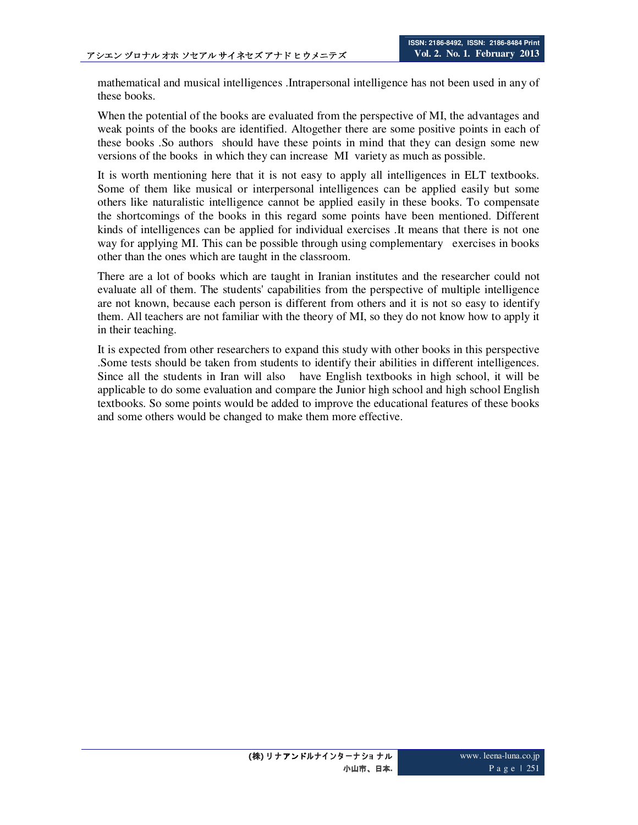mathematical and musical intelligences .Intrapersonal intelligence has not been used in any of these books.

When the potential of the books are evaluated from the perspective of MI, the advantages and weak points of the books are identified. Altogether there are some positive points in each of these books .So authors should have these points in mind that they can design some new versions of the books in which they can increase MI variety as much as possible.

It is worth mentioning here that it is not easy to apply all intelligences in ELT textbooks. Some of them like musical or interpersonal intelligences can be applied easily but some others like naturalistic intelligence cannot be applied easily in these books. To compensate the shortcomings of the books in this regard some points have been mentioned. Different kinds of intelligences can be applied for individual exercises .It means that there is not one way for applying MI. This can be possible through using complementary exercises in books other than the ones which are taught in the classroom.

There are a lot of books which are taught in Iranian institutes and the researcher could not evaluate all of them. The students' capabilities from the perspective of multiple intelligence are not known, because each person is different from others and it is not so easy to identify them. All teachers are not familiar with the theory of MI, so they do not know how to apply it in their teaching.

It is expected from other researchers to expand this study with other books in this perspective .Some tests should be taken from students to identify their abilities in different intelligences. Since all the students in Iran will also have English textbooks in high school, it will be applicable to do some evaluation and compare the Junior high school and high school English textbooks. So some points would be added to improve the educational features of these books and some others would be changed to make them more effective.